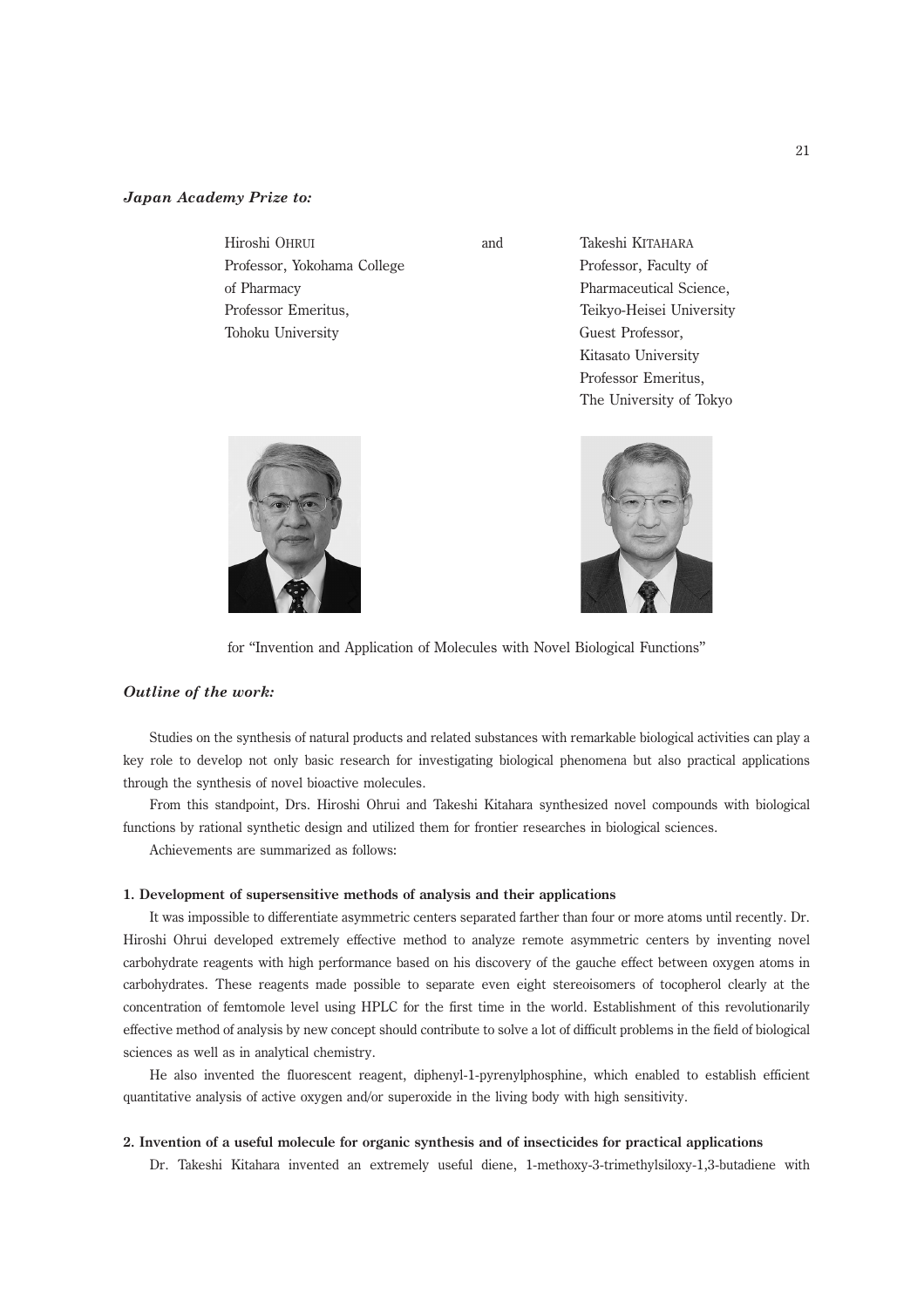# Japan Academy Prize to:

| Hiroshi OHRUI               |
|-----------------------------|
| Professor, Yokohama College |
| of Pharmacy                 |
| Professor Emeritus.         |
| Tohoku University           |

and Takeshi KITAHARA Professor, Faculty of Pharmaceutical Science, Teikyo-Heisei University Guest Professor, Kitasato University Professor Emeritus, The University of Tokyo





for ''Invention and Application of Molecules with Novel Biological Functions''

# Outline of the work:

Studies on the synthesis of natural products and related substances with remarkable biological activities can play a key role to develop not only basic research for investigating biological phenomena but also practical applications through the synthesis of novel bioactive molecules.

From this standpoint, Drs. Hiroshi Ohrui and Takeshi Kitahara synthesized novel compounds with biological functions by rational synthetic design and utilized them for frontier researches in biological sciences.

Achievements are summarized as follows:

#### 1. Development of supersensitive methods of analysis and their applications

It was impossible to differentiate asymmetric centers separated farther than four or more atoms until recently. Dr. Hiroshi Ohrui developed extremely effective method to analyze remote asymmetric centers by inventing novel carbohydrate reagents with high performance based on his discovery of the gauche effect between oxygen atoms in carbohydrates. These reagents made possible to separate even eight stereoisomers of tocopherol clearly at the concentration of femtomole level using HPLC for the first time in the world. Establishment of this revolutionarily effective method of analysis by new concept should contribute to solve a lot of difficult problems in the field of biological sciences as well as in analytical chemistry.

He also invented the fluorescent reagent, diphenyl-1-pyrenylphosphine, which enabled to establish efficient quantitative analysis of active oxygen and/or superoxide in the living body with high sensitivity.

## 2. Invention of a useful molecule for organic synthesis and of insecticides for practical applications

Dr. Takeshi Kitahara invented an extremely useful diene, 1-methoxy-3-trimethylsiloxy-1,3-butadiene with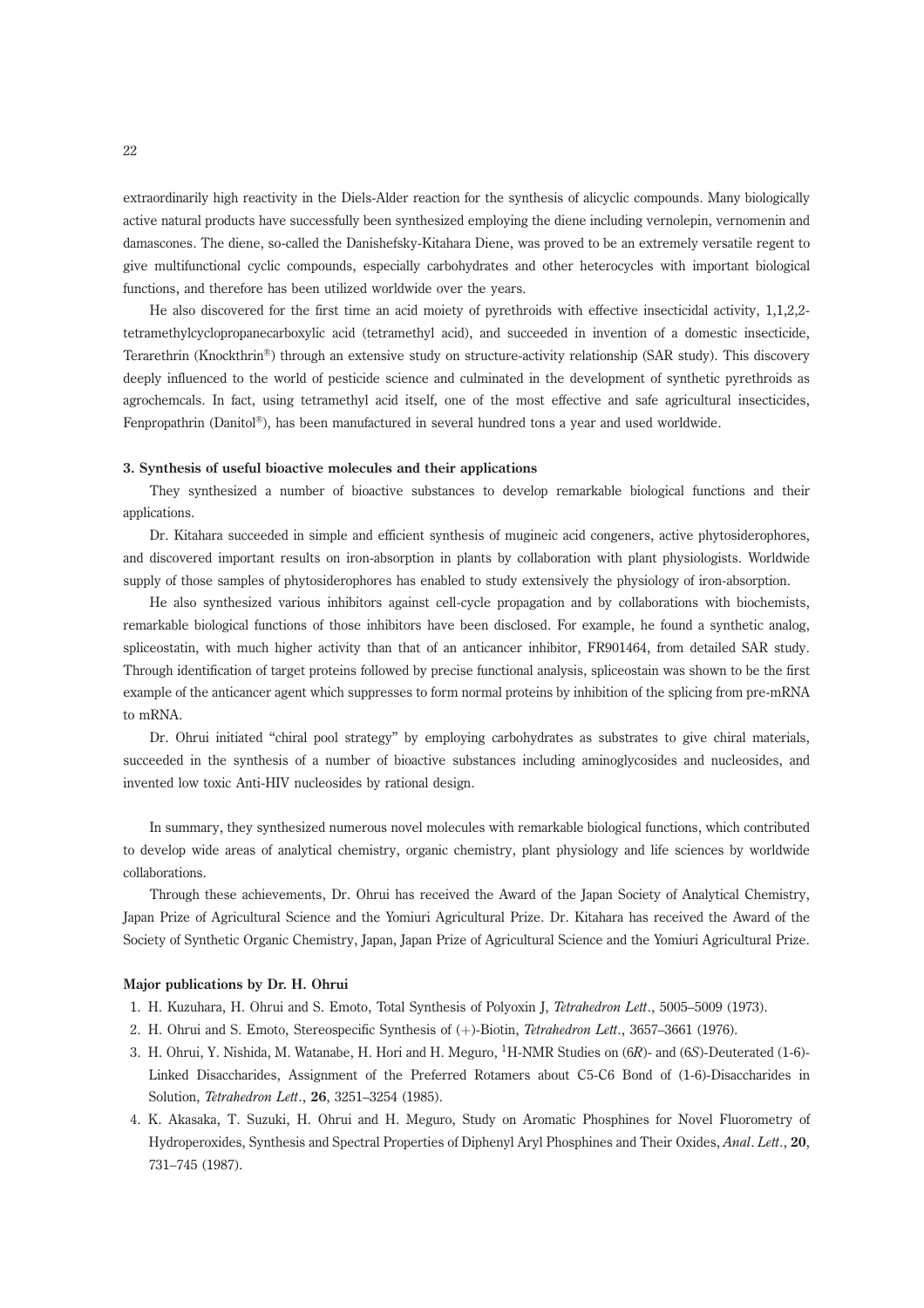extraordinarily high reactivity in the Diels-Alder reaction for the synthesis of alicyclic compounds. Many biologically active natural products have successfully been synthesized employing the diene including vernolepin, vernomenin and damascones. The diene, so-called the Danishefsky-Kitahara Diene, was proved to be an extremely versatile regent to give multifunctional cyclic compounds, especially carbohydrates and other heterocycles with important biological functions, and therefore has been utilized worldwide over the years.

He also discovered for the first time an acid moiety of pyrethroids with effective insecticidal activity, 1,1,2,2 tetramethylcyclopropanecarboxylic acid (tetramethyl acid), and succeeded in invention of a domestic insecticide, Terarethrin (Knockthrin®) through an extensive study on structure-activity relationship (SAR study). This discovery deeply influenced to the world of pesticide science and culminated in the development of synthetic pyrethroids as agrochemcals. In fact, using tetramethyl acid itself, one of the most effective and safe agricultural insecticides, Fenpropathrin (Danitol<sup>®</sup>), has been manufactured in several hundred tons a year and used worldwide.

#### 3. Synthesis of useful bioactive molecules and their applications

They synthesized a number of bioactive substances to develop remarkable biological functions and their applications.

Dr. Kitahara succeeded in simple and efficient synthesis of mugineic acid congeners, active phytosiderophores, and discovered important results on iron-absorption in plants by collaboration with plant physiologists. Worldwide supply of those samples of phytosiderophores has enabled to study extensively the physiology of iron-absorption.

He also synthesized various inhibitors against cell-cycle propagation and by collaborations with biochemists, remarkable biological functions of those inhibitors have been disclosed. For example, he found a synthetic analog, spliceostatin, with much higher activity than that of an anticancer inhibitor, FR901464, from detailed SAR study. Through identification of target proteins followed by precise functional analysis, spliceostain was shown to be the first example of the anticancer agent which suppresses to form normal proteins by inhibition of the splicing from pre-mRNA to mRNA.

Dr. Ohrui initiated "chiral pool strategy" by employing carbohydrates as substrates to give chiral materials, succeeded in the synthesis of a number of bioactive substances including aminoglycosides and nucleosides, and invented low toxic Anti-HIV nucleosides by rational design.

In summary, they synthesized numerous novel molecules with remarkable biological functions, which contributed to develop wide areas of analytical chemistry, organic chemistry, plant physiology and life sciences by worldwide collaborations.

Through these achievements, Dr. Ohrui has received the Award of the Japan Society of Analytical Chemistry, Japan Prize of Agricultural Science and the Yomiuri Agricultural Prize. Dr. Kitahara has received the Award of the Society of Synthetic Organic Chemistry, Japan, Japan Prize of Agricultural Science and the Yomiuri Agricultural Prize.

## Major publications by Dr. H. Ohrui

- 1. H. Kuzuhara, H. Ohrui and S. Emoto, Total Synthesis of Polyoxin J, Tetrahedron Lett., 5005–5009 (1973).
- 2. H. Ohrui and S. Emoto, Stereospecific Synthesis of  $(+)$ -Biotin, *Tetrahedron Lett.*, 3657–3661 (1976).
- 3. H. Ohrui, Y. Nishida, M. Watanabe, H. Hori and H. Meguro, 1H-NMR Studies on (6R)- and (6S)-Deuterated (1-6)- Linked Disaccharides, Assignment of the Preferred Rotamers about C5-C6 Bond of (1-6)-Disaccharides in Solution, Tetrahedron Lett., 26, 3251–3254 (1985).
- 4. K. Akasaka, T. Suzuki, H. Ohrui and H. Meguro, Study on Aromatic Phosphines for Novel Fluorometry of Hydroperoxides, Synthesis and Spectral Properties of Diphenyl Aryl Phosphines and Their Oxides, Anal. Lett., 20, 731–745 (1987).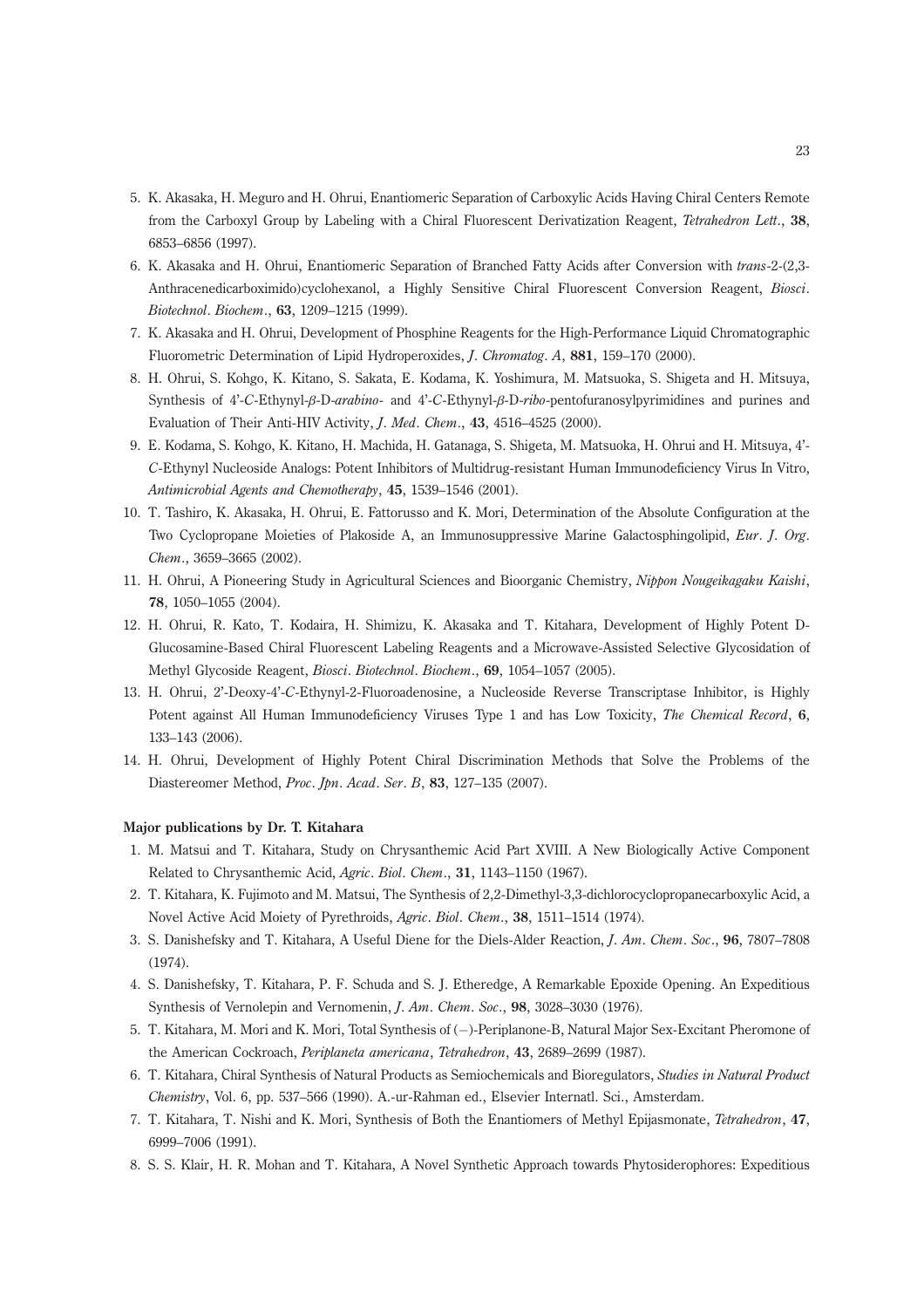- 5. K. Akasaka, H. Meguro and H. Ohrui, Enantiomeric Separation of Carboxylic Acids Having Chiral Centers Remote from the Carboxyl Group by Labeling with a Chiral Fluorescent Derivatization Reagent, Tetrahedron Lett., 38, 6853–6856 (1997).
- 6. K. Akasaka and H. Ohrui, Enantiomeric Separation of Branched Fatty Acids after Conversion with trans-2-(2,3- Anthracenedicarboximido)cyclohexanol, a Highly Sensitive Chiral Fluorescent Conversion Reagent, Biosci. Biotechnol. Biochem., 63, 1209–1215 (1999).
- 7. K. Akasaka and H. Ohrui, Development of Phosphine Reagents for the High-Performance Liquid Chromatographic Fluorometric Determination of Lipid Hydroperoxides, J. Chromatog. A, 881, 159–170 (2000).
- 8. H. Ohrui, S. Kohgo, K. Kitano, S. Sakata, E. Kodama, K. Yoshimura, M. Matsuoka, S. Shigeta and H. Mitsuya, Synthesis of 4'-C-Ethynyl-β-D-arabino- and 4'-C-Ethynyl-β-D-ribo-pentofuranosylpyrimidines and purines and Evaluation of Their Anti-HIV Activity, J. Med. Chem., 43, 4516–4525 (2000).
- 9. E. Kodama, S. Kohgo, K. Kitano, H. Machida, H. Gatanaga, S. Shigeta, M. Matsuoka, H. Ohrui and H. Mitsuya, 4'- C-Ethynyl Nucleoside Analogs: Potent Inhibitors of Multidrug-resistant Human Immunodeficiency Virus In Vitro, Antimicrobial Agents and Chemotherapy, 45, 1539–1546 (2001).
- 10. T. Tashiro, K. Akasaka, H. Ohrui, E. Fattorusso and K. Mori, Determination of the Absolute Configuration at the Two Cyclopropane Moieties of Plakoside A, an Immunosuppressive Marine Galactosphingolipid, Eur. J. Org. Chem., 3659–3665 (2002).
- 11. H. Ohrui, A Pioneering Study in Agricultural Sciences and Bioorganic Chemistry, Nippon Nougeikagaku Kaishi, 78, 1050–1055 (2004).
- 12. H. Ohrui, R. Kato, T. Kodaira, H. Shimizu, K. Akasaka and T. Kitahara, Development of Highly Potent D-Glucosamine-Based Chiral Fluorescent Labeling Reagents and a Microwave-Assisted Selective Glycosidation of Methyl Glycoside Reagent, Biosci. Biotechnol. Biochem., 69, 1054–1057 (2005).
- 13. H. Ohrui, 2'-Deoxy-4'-C-Ethynyl-2-Fluoroadenosine, a Nucleoside Reverse Transcriptase Inhibitor, is Highly Potent against All Human Immunodeficiency Viruses Type 1 and has Low Toxicity, The Chemical Record, 6, 133–143 (2006).
- 14. H. Ohrui, Development of Highly Potent Chiral Discrimination Methods that Solve the Problems of the Diastereomer Method, Proc. Jpn. Acad. Ser. B, 83, 127–135 (2007).

# Major publications by Dr. T. Kitahara

- 1. M. Matsui and T. Kitahara, Study on Chrysanthemic Acid Part XVIII. A New Biologically Active Component Related to Chrysanthemic Acid, Agric. Biol. Chem., 31, 1143–1150 (1967).
- 2. T. Kitahara, K. Fujimoto and M. Matsui, The Synthesis of 2,2-Dimethyl-3,3-dichlorocyclopropanecarboxylic Acid, a Novel Active Acid Moiety of Pyrethroids, Agric. Biol. Chem., 38, 1511–1514 (1974).
- 3. S. Danishefsky and T. Kitahara, A Useful Diene for the Diels-Alder Reaction, J. Am. Chem. Soc., 96, 7807–7808 (1974).
- 4. S. Danishefsky, T. Kitahara, P. F. Schuda and S. J. Etheredge, A Remarkable Epoxide Opening. An Expeditious Synthesis of Vernolepin and Vernomenin, J. Am. Chem. Soc., 98, 3028–3030 (1976).
- 5. T. Kitahara, M. Mori and K. Mori, Total Synthesis of (-)-Periplanone-B, Natural Major Sex-Excitant Pheromone of the American Cockroach, Periplaneta americana, Tetrahedron, 43, 2689–2699 (1987).
- 6. T. Kitahara, Chiral Synthesis of Natural Products as Semiochemicals and Bioregulators, Studies in Natural Product Chemistry, Vol. 6, pp. 537–566 (1990). A.-ur-Rahman ed., Elsevier Internatl. Sci., Amsterdam.
- 7. T. Kitahara, T. Nishi and K. Mori, Synthesis of Both the Enantiomers of Methyl Epijasmonate, Tetrahedron, 47, 6999–7006 (1991).
- 8. S. S. Klair, H. R. Mohan and T. Kitahara, A Novel Synthetic Approach towards Phytosiderophores: Expeditious